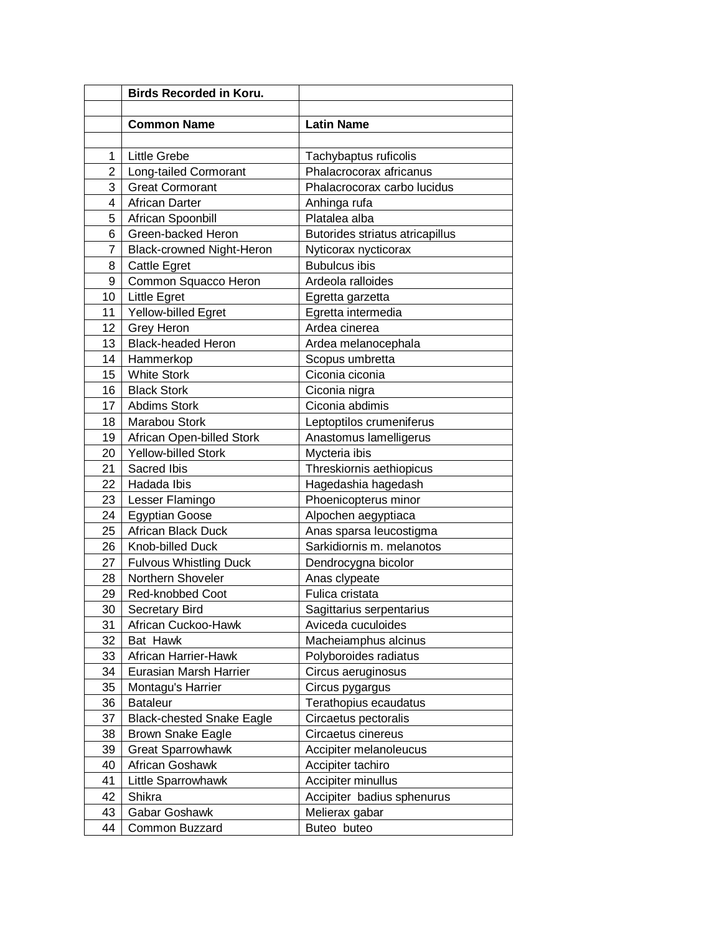|        | <b>Birds Recorded in Koru.</b>   |                                                  |
|--------|----------------------------------|--------------------------------------------------|
|        |                                  |                                                  |
|        | <b>Common Name</b>               | <b>Latin Name</b>                                |
| 1      | <b>Little Grebe</b>              |                                                  |
| 2      | Long-tailed Cormorant            | Tachybaptus ruficolis<br>Phalacrocorax africanus |
| 3      | <b>Great Cormorant</b>           | Phalacrocorax carbo lucidus                      |
| 4      | <b>African Darter</b>            | Anhinga rufa                                     |
| 5      | African Spoonbill                | Platalea alba                                    |
| 6      | Green-backed Heron               | Butorides striatus atricapillus                  |
| 7      | <b>Black-crowned Night-Heron</b> | Nyticorax nycticorax                             |
| 8      | <b>Cattle Egret</b>              | <b>Bubulcus ibis</b>                             |
| 9      | Common Squacco Heron             | Ardeola ralloides                                |
| 10     | Little Egret                     | Egretta garzetta                                 |
| 11     | Yellow-billed Egret              | Egretta intermedia                               |
| 12     | Grey Heron                       | Ardea cinerea                                    |
| 13     | <b>Black-headed Heron</b>        | Ardea melanocephala                              |
| 14     | Hammerkop                        | Scopus umbretta                                  |
| 15     | <b>White Stork</b>               | Ciconia ciconia                                  |
| 16     | <b>Black Stork</b>               | Ciconia nigra                                    |
| 17     | Abdims Stork                     | Ciconia abdimis                                  |
| 18     | Marabou Stork                    | Leptoptilos crumeniferus                         |
| 19     | African Open-billed Stork        | Anastomus lamelligerus                           |
| 20     | <b>Yellow-billed Stork</b>       | Mycteria ibis                                    |
| 21     | Sacred Ibis                      | Threskiornis aethiopicus                         |
| 22     | Hadada Ibis                      | Hagedashia hagedash                              |
| 23     | Lesser Flamingo                  | Phoenicopterus minor                             |
| 24     | <b>Egyptian Goose</b>            | Alpochen aegyptiaca                              |
| 25     | African Black Duck               | Anas sparsa leucostigma                          |
| 26     | Knob-billed Duck                 | Sarkidiornis m. melanotos                        |
| 27     | <b>Fulvous Whistling Duck</b>    | Dendrocygna bicolor                              |
| 28     | Northern Shoveler                | Anas clypeate                                    |
| 29     | Red-knobbed Coot                 | Fulica cristata                                  |
| $30\,$ | Secretary Bird                   | Sagittarius serpentarius                         |
| 31     | African Cuckoo-Hawk              | Aviceda cuculoides                               |
| 32     | Bat Hawk                         | Macheiamphus alcinus                             |
| 33     | African Harrier-Hawk             | Polyboroides radiatus                            |
| 34     | Eurasian Marsh Harrier           | Circus aeruginosus                               |
| 35     | Montagu's Harrier                | Circus pygargus                                  |
| 36     | <b>Bataleur</b>                  | Terathopius ecaudatus                            |
| 37     | <b>Black-chested Snake Eagle</b> | Circaetus pectoralis                             |
| 38     | <b>Brown Snake Eagle</b>         | Circaetus cinereus                               |
| 39     | <b>Great Sparrowhawk</b>         | Accipiter melanoleucus                           |
| 40     | African Goshawk                  | Accipiter tachiro                                |
| 41     | Little Sparrowhawk               | Accipiter minullus                               |
| 42     | Shikra                           | Accipiter badius sphenurus                       |
| 43     | Gabar Goshawk                    | Melierax gabar                                   |
| 44     | Common Buzzard                   | Buteo buteo                                      |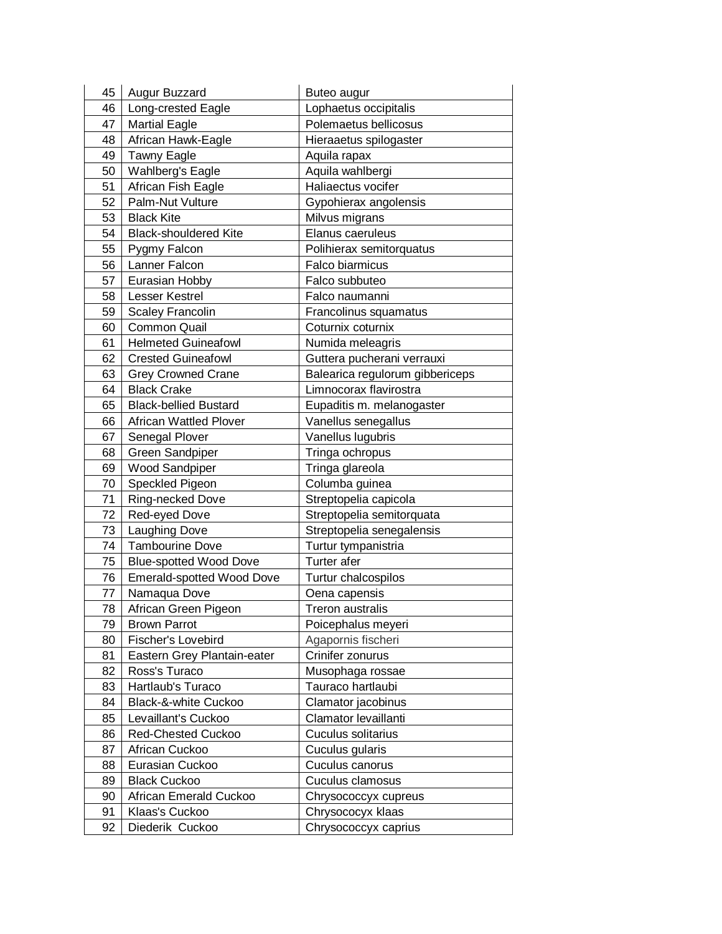| 45 | Augur Buzzard                 | Buteo augur                     |
|----|-------------------------------|---------------------------------|
| 46 | Long-crested Eagle            | Lophaetus occipitalis           |
| 47 | <b>Martial Eagle</b>          | Polemaetus bellicosus           |
| 48 | African Hawk-Eagle            | Hieraaetus spilogaster          |
| 49 | <b>Tawny Eagle</b>            | Aquila rapax                    |
| 50 | Wahlberg's Eagle              | Aquila wahlbergi                |
| 51 | African Fish Eagle            | Haliaectus vocifer              |
| 52 | Palm-Nut Vulture              | Gypohierax angolensis           |
| 53 | <b>Black Kite</b>             | Milvus migrans                  |
| 54 | <b>Black-shouldered Kite</b>  | Elanus caeruleus                |
| 55 | Pygmy Falcon                  | Polihierax semitorquatus        |
| 56 | Lanner Falcon                 | Falco biarmicus                 |
| 57 | Eurasian Hobby                | Falco subbuteo                  |
| 58 | <b>Lesser Kestrel</b>         | Falco naumanni                  |
| 59 | <b>Scaley Francolin</b>       | Francolinus squamatus           |
| 60 | <b>Common Quail</b>           | Coturnix coturnix               |
| 61 | <b>Helmeted Guineafowl</b>    | Numida meleagris                |
| 62 | <b>Crested Guineafowl</b>     | Guttera pucherani verrauxi      |
| 63 | <b>Grey Crowned Crane</b>     | Balearica regulorum gibbericeps |
| 64 | <b>Black Crake</b>            | Limnocorax flavirostra          |
| 65 | <b>Black-bellied Bustard</b>  | Eupaditis m. melanogaster       |
| 66 | <b>African Wattled Plover</b> | Vanellus senegallus             |
| 67 | Senegal Plover                | Vanellus lugubris               |
| 68 | <b>Green Sandpiper</b>        | Tringa ochropus                 |
| 69 | Wood Sandpiper                | Tringa glareola                 |
| 70 | Speckled Pigeon               | Columba guinea                  |
| 71 | Ring-necked Dove              | Streptopelia capicola           |
| 72 | Red-eyed Dove                 | Streptopelia semitorquata       |
| 73 | Laughing Dove                 | Streptopelia senegalensis       |
| 74 | <b>Tambourine Dove</b>        | Turtur tympanistria             |
| 75 | <b>Blue-spotted Wood Dove</b> | Turter afer                     |
| 76 | Emerald-spotted Wood Dove     | Turtur chalcospilos             |
| 77 | Namaqua Dove                  | Oena capensis                   |
| 78 | African Green Pigeon          | Treron australis                |
| 79 | <b>Brown Parrot</b>           | Poicephalus meyeri              |
| 80 | Fischer's Lovebird            | Agapornis fischeri              |
| 81 | Eastern Grey Plantain-eater   | Crinifer zonurus                |
| 82 | Ross's Turaco                 | Musophaga rossae                |
| 83 | Hartlaub's Turaco             | Tauraco hartlaubi               |
| 84 | Black-&-white Cuckoo          | Clamator jacobinus              |
| 85 | Levaillant's Cuckoo           | Clamator levaillanti            |
| 86 | <b>Red-Chested Cuckoo</b>     | Cuculus solitarius              |
| 87 | African Cuckoo                | Cuculus gularis                 |
| 88 | Eurasian Cuckoo               | Cuculus canorus                 |
| 89 | <b>Black Cuckoo</b>           | Cuculus clamosus                |
| 90 | African Emerald Cuckoo        | Chrysococcyx cupreus            |
| 91 | Klaas's Cuckoo                | Chrysococyx klaas               |
| 92 | Diederik Cuckoo               | Chrysococcyx caprius            |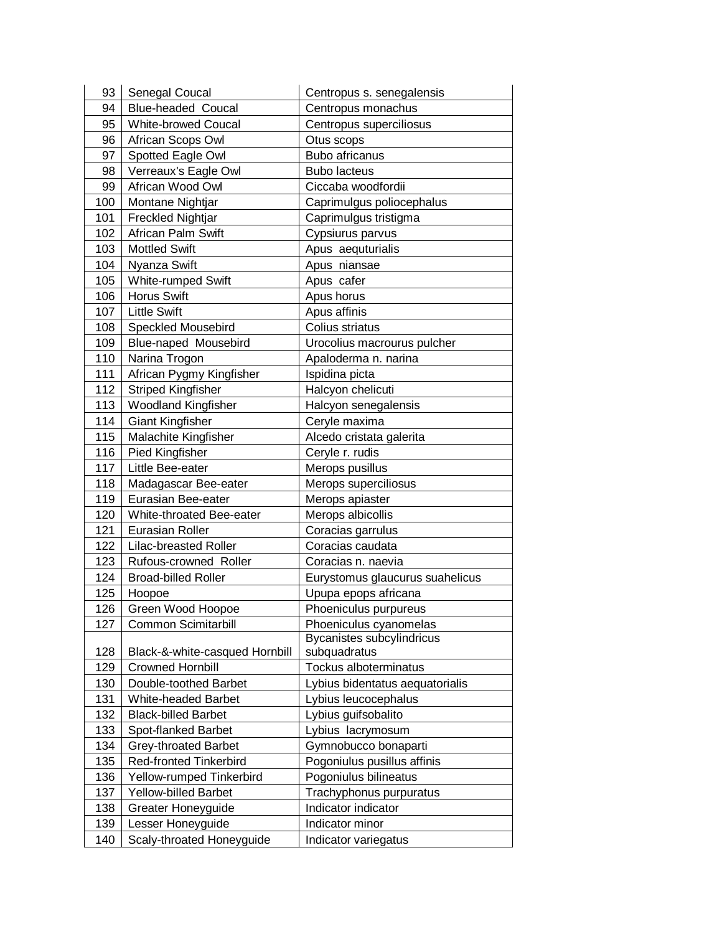| 93  | Senegal Coucal                 | Centropus s. senegalensis       |
|-----|--------------------------------|---------------------------------|
| 94  | <b>Blue-headed Coucal</b>      | Centropus monachus              |
| 95  | <b>White-browed Coucal</b>     | Centropus superciliosus         |
| 96  | African Scops Owl              | Otus scops                      |
| 97  | Spotted Eagle Owl              | <b>Bubo africanus</b>           |
| 98  | Verreaux's Eagle Owl           | <b>Bubo lacteus</b>             |
| 99  | African Wood Owl               | Ciccaba woodfordii              |
| 100 | Montane Nightjar               | Caprimulgus poliocephalus       |
| 101 | <b>Freckled Nightjar</b>       | Caprimulgus tristigma           |
| 102 | African Palm Swift             | Cypsiurus parvus                |
| 103 | <b>Mottled Swift</b>           | Apus aequturialis               |
| 104 | Nyanza Swift                   | Apus niansae                    |
| 105 | White-rumped Swift             | Apus cafer                      |
| 106 | <b>Horus Swift</b>             | Apus horus                      |
| 107 | <b>Little Swift</b>            | Apus affinis                    |
| 108 | <b>Speckled Mousebird</b>      | Colius striatus                 |
| 109 | Blue-naped Mousebird           | Urocolius macrourus pulcher     |
| 110 | Narina Trogon                  | Apaloderma n. narina            |
| 111 | African Pygmy Kingfisher       | Ispidina picta                  |
| 112 | <b>Striped Kingfisher</b>      | Halcyon chelicuti               |
| 113 | <b>Woodland Kingfisher</b>     | Halcyon senegalensis            |
| 114 | <b>Giant Kingfisher</b>        | Ceryle maxima                   |
| 115 | Malachite Kingfisher           | Alcedo cristata galerita        |
| 116 | Pied Kingfisher                | Ceryle r. rudis                 |
| 117 | Little Bee-eater               | Merops pusillus                 |
| 118 | Madagascar Bee-eater           | Merops superciliosus            |
| 119 | Eurasian Bee-eater             | Merops apiaster                 |
| 120 | White-throated Bee-eater       | Merops albicollis               |
| 121 | <b>Eurasian Roller</b>         | Coracias garrulus               |
| 122 | <b>Lilac-breasted Roller</b>   | Coracias caudata                |
| 123 | Rufous-crowned Roller          | Coracias n. naevia              |
| 124 | <b>Broad-billed Roller</b>     | Eurystomus glaucurus suahelicus |
| 125 | Hoopoe                         | Upupa epops africana            |
| 126 | Green Wood Hoopoe              | Phoeniculus purpureus           |
| 127 | <b>Common Scimitarbill</b>     | Phoeniculus cyanomelas          |
|     |                                | Bycanistes subcylindricus       |
| 128 | Black-&-white-casqued Hornbill | subquadratus                    |
| 129 | <b>Crowned Hornbill</b>        | Tockus alboterminatus           |
| 130 | Double-toothed Barbet          | Lybius bidentatus aequatorialis |
| 131 | White-headed Barbet            | Lybius leucocephalus            |
| 132 | <b>Black-billed Barbet</b>     | Lybius guifsobalito             |
| 133 | Spot-flanked Barbet            | Lybius lacrymosum               |
| 134 | <b>Grey-throated Barbet</b>    | Gymnobucco bonaparti            |
| 135 | <b>Red-fronted Tinkerbird</b>  | Pogoniulus pusillus affinis     |
| 136 | Yellow-rumped Tinkerbird       | Pogoniulus bilineatus           |
| 137 | <b>Yellow-billed Barbet</b>    | Trachyphonus purpuratus         |
| 138 | Greater Honeyguide             | Indicator indicator             |
| 139 | Lesser Honeyguide              | Indicator minor                 |
| 140 | Scaly-throated Honeyguide      | Indicator variegatus            |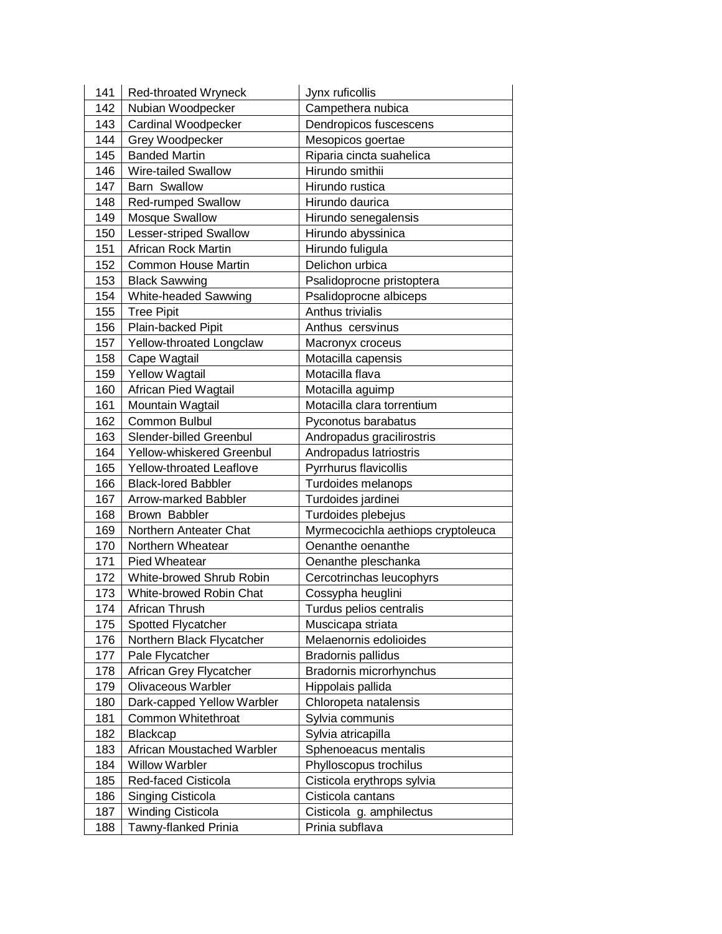| 141 | Red-throated Wryneck          | Jynx ruficollis                    |
|-----|-------------------------------|------------------------------------|
| 142 | Nubian Woodpecker             | Campethera nubica                  |
| 143 | Cardinal Woodpecker           | Dendropicos fuscescens             |
| 144 | Grey Woodpecker               | Mesopicos goertae                  |
| 145 | <b>Banded Martin</b>          | Riparia cincta suahelica           |
| 146 | <b>Wire-tailed Swallow</b>    | Hirundo smithii                    |
| 147 | <b>Barn Swallow</b>           | Hirundo rustica                    |
| 148 | <b>Red-rumped Swallow</b>     | Hirundo daurica                    |
| 149 | <b>Mosque Swallow</b>         | Hirundo senegalensis               |
| 150 | <b>Lesser-striped Swallow</b> | Hirundo abyssinica                 |
| 151 | <b>African Rock Martin</b>    | Hirundo fuligula                   |
| 152 | <b>Common House Martin</b>    | Delichon urbica                    |
| 153 | <b>Black Sawwing</b>          | Psalidoprocne pristoptera          |
| 154 | White-headed Sawwing          | Psalidoprocne albiceps             |
| 155 | <b>Tree Pipit</b>             | Anthus trivialis                   |
| 156 | Plain-backed Pipit            | Anthus cersvinus                   |
| 157 | Yellow-throated Longclaw      | Macronyx croceus                   |
| 158 | Cape Wagtail                  | Motacilla capensis                 |
| 159 | <b>Yellow Wagtail</b>         | Motacilla flava                    |
| 160 | African Pied Wagtail          | Motacilla aguimp                   |
| 161 | Mountain Wagtail              | Motacilla clara torrentium         |
| 162 | <b>Common Bulbul</b>          | Pyconotus barabatus                |
| 163 | Slender-billed Greenbul       | Andropadus gracilirostris          |
| 164 | Yellow-whiskered Greenbul     | Andropadus latriostris             |
| 165 | Yellow-throated Leaflove      | Pyrrhurus flavicollis              |
| 166 | <b>Black-lored Babbler</b>    | Turdoides melanops                 |
| 167 | Arrow-marked Babbler          | Turdoides jardinei                 |
| 168 | Brown Babbler                 | Turdoides plebejus                 |
| 169 | Northern Anteater Chat        | Myrmecocichla aethiops cryptoleuca |
| 170 | Northern Wheatear             | Oenanthe oenanthe                  |
| 171 | Pied Wheatear                 | Oenanthe pleschanka                |
| 172 | White-browed Shrub Robin      | Cercotrinchas leucophyrs           |
| 173 | White-browed Robin Chat       | Cossypha heuglini                  |
| 174 | African Thrush                | Turdus pelios centralis            |
| 175 | Spotted Flycatcher            | Muscicapa striata                  |
| 176 | Northern Black Flycatcher     | Melaenornis edolioides             |
| 177 | Pale Flycatcher               | Bradornis pallidus                 |
| 178 | African Grey Flycatcher       | Bradornis microrhynchus            |
| 179 | Olivaceous Warbler            | Hippolais pallida                  |
| 180 | Dark-capped Yellow Warbler    | Chloropeta natalensis              |
| 181 | Common Whitethroat            | Sylvia communis                    |
| 182 | Blackcap                      | Sylvia atricapilla                 |
| 183 | African Moustached Warbler    | Sphenoeacus mentalis               |
| 184 | <b>Willow Warbler</b>         | Phylloscopus trochilus             |
| 185 | Red-faced Cisticola           | Cisticola erythrops sylvia         |
| 186 | Singing Cisticola             | Cisticola cantans                  |
| 187 | <b>Winding Cisticola</b>      | Cisticola g. amphilectus           |
| 188 | Tawny-flanked Prinia          | Prinia subflava                    |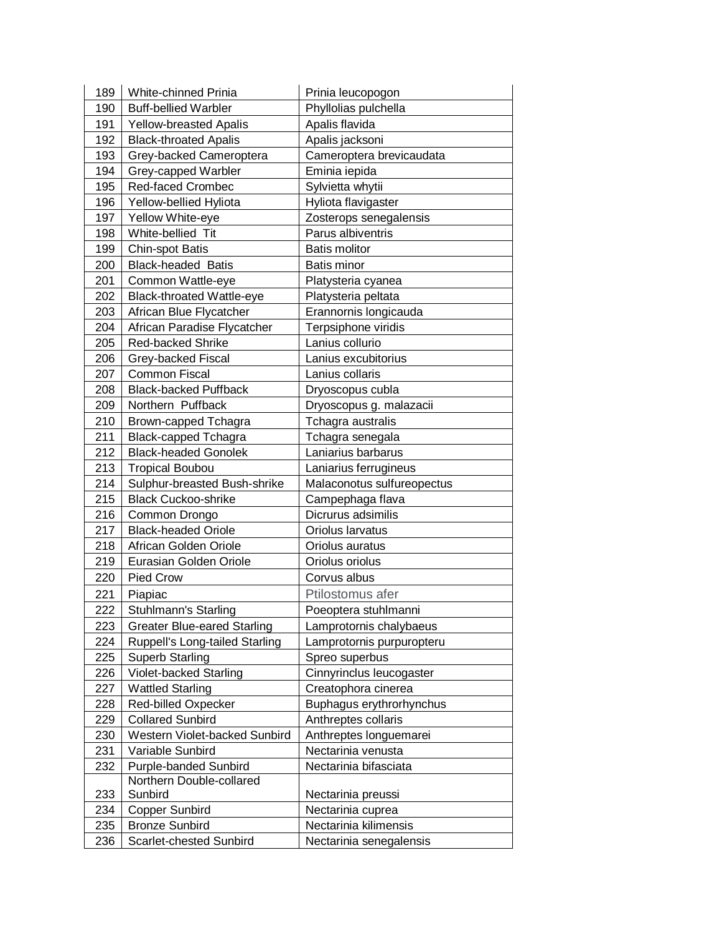| 189 | White-chinned Prinia                | Prinia leucopogon          |
|-----|-------------------------------------|----------------------------|
| 190 | <b>Buff-bellied Warbler</b>         | Phyllolias pulchella       |
| 191 | <b>Yellow-breasted Apalis</b>       | Apalis flavida             |
| 192 | <b>Black-throated Apalis</b>        | Apalis jacksoni            |
| 193 | Grey-backed Cameroptera             | Cameroptera brevicaudata   |
| 194 | Grey-capped Warbler                 | Eminia iepida              |
| 195 | Red-faced Crombec                   | Sylvietta whytii           |
| 196 | Yellow-bellied Hyliota              | Hyliota flavigaster        |
| 197 | Yellow White-eye                    | Zosterops senegalensis     |
| 198 | White-bellied Tit                   | Parus albiventris          |
| 199 | <b>Chin-spot Batis</b>              | <b>Batis molitor</b>       |
| 200 | <b>Black-headed Batis</b>           | <b>Batis minor</b>         |
| 201 | Common Wattle-eye                   | Platysteria cyanea         |
| 202 | <b>Black-throated Wattle-eye</b>    | Platysteria peltata        |
| 203 | African Blue Flycatcher             | Erannornis longicauda      |
| 204 | African Paradise Flycatcher         | Terpsiphone viridis        |
| 205 | <b>Red-backed Shrike</b>            | Lanius collurio            |
| 206 | Grey-backed Fiscal                  | Lanius excubitorius        |
| 207 | <b>Common Fiscal</b>                | Lanius collaris            |
| 208 | <b>Black-backed Puffback</b>        | Dryoscopus cubla           |
| 209 | Northern Puffback                   | Dryoscopus g. malazacii    |
| 210 | Brown-capped Tchagra                | Tchagra australis          |
| 211 | <b>Black-capped Tchagra</b>         | Tchagra senegala           |
| 212 | <b>Black-headed Gonolek</b>         | Laniarius barbarus         |
| 213 | <b>Tropical Boubou</b>              | Laniarius ferrugineus      |
| 214 | Sulphur-breasted Bush-shrike        | Malaconotus sulfureopectus |
| 215 | <b>Black Cuckoo-shrike</b>          | Campephaga flava           |
| 216 | Common Drongo                       | Dicrurus adsimilis         |
| 217 | <b>Black-headed Oriole</b>          | Oriolus larvatus           |
| 218 | African Golden Oriole               | Oriolus auratus            |
| 219 | Eurasian Golden Oriole              | Oriolus oriolus            |
| 220 | <b>Pied Crow</b>                    | Corvus albus               |
| 221 | Piapiac                             | Ptilostomus afer           |
| 222 | Stuhlmann's Starling                | Poeoptera stuhlmanni       |
| 223 | <b>Greater Blue-eared Starling</b>  | Lamprotornis chalybaeus    |
| 224 | Ruppell's Long-tailed Starling      | Lamprotornis purpuropteru  |
| 225 | <b>Superb Starling</b>              | Spreo superbus             |
| 226 | Violet-backed Starling              | Cinnyrinclus leucogaster   |
| 227 | <b>Wattled Starling</b>             | Creatophora cinerea        |
| 228 | Red-billed Oxpecker                 | Buphagus erythrorhynchus   |
| 229 | <b>Collared Sunbird</b>             | Anthreptes collaris        |
| 230 | Western Violet-backed Sunbird       | Anthreptes longuemarei     |
| 231 | Variable Sunbird                    | Nectarinia venusta         |
| 232 | <b>Purple-banded Sunbird</b>        | Nectarinia bifasciata      |
| 233 | Northern Double-collared<br>Sunbird | Nectarinia preussi         |
| 234 | <b>Copper Sunbird</b>               | Nectarinia cuprea          |
| 235 | <b>Bronze Sunbird</b>               | Nectarinia kilimensis      |
| 236 | Scarlet-chested Sunbird             | Nectarinia senegalensis    |
|     |                                     |                            |